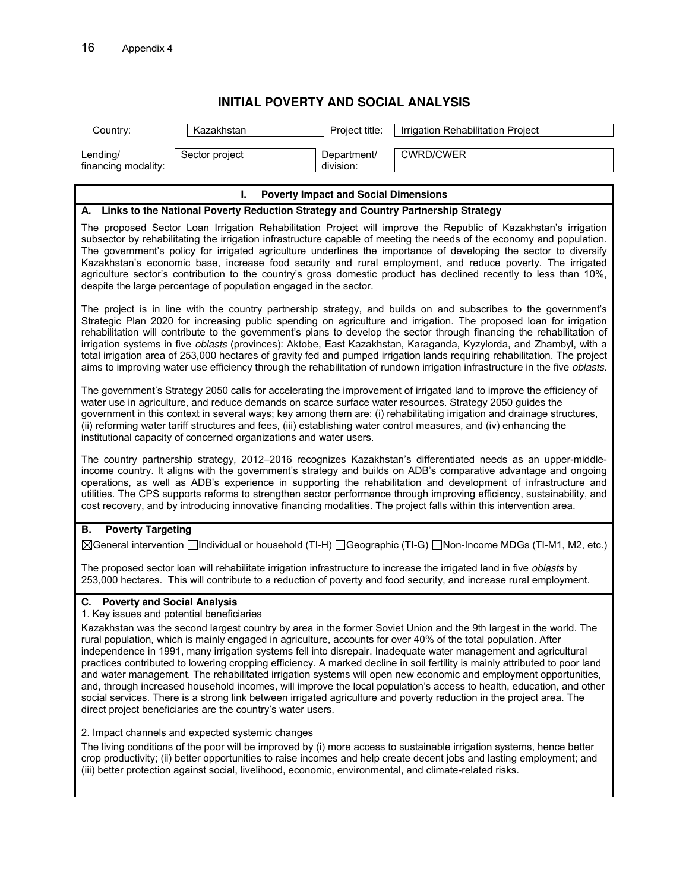## **INITIAL POVERTY AND SOCIAL ANALYSIS**

| Lending/                                                                                                                                                                                                                                                                                                                                                                                                                                                                                                                                                                                                                                                                                                                                                                                                                                                                                                                                                                                                                                                                                                                                                                                                                                                                                                                                                                                                                 |                |                          |                  |  |  |
|--------------------------------------------------------------------------------------------------------------------------------------------------------------------------------------------------------------------------------------------------------------------------------------------------------------------------------------------------------------------------------------------------------------------------------------------------------------------------------------------------------------------------------------------------------------------------------------------------------------------------------------------------------------------------------------------------------------------------------------------------------------------------------------------------------------------------------------------------------------------------------------------------------------------------------------------------------------------------------------------------------------------------------------------------------------------------------------------------------------------------------------------------------------------------------------------------------------------------------------------------------------------------------------------------------------------------------------------------------------------------------------------------------------------------|----------------|--------------------------|------------------|--|--|
| financing modality:                                                                                                                                                                                                                                                                                                                                                                                                                                                                                                                                                                                                                                                                                                                                                                                                                                                                                                                                                                                                                                                                                                                                                                                                                                                                                                                                                                                                      | Sector project | Department/<br>division: | <b>CWRD/CWER</b> |  |  |
| L.<br><b>Poverty Impact and Social Dimensions</b>                                                                                                                                                                                                                                                                                                                                                                                                                                                                                                                                                                                                                                                                                                                                                                                                                                                                                                                                                                                                                                                                                                                                                                                                                                                                                                                                                                        |                |                          |                  |  |  |
| A. Links to the National Poverty Reduction Strategy and Country Partnership Strategy                                                                                                                                                                                                                                                                                                                                                                                                                                                                                                                                                                                                                                                                                                                                                                                                                                                                                                                                                                                                                                                                                                                                                                                                                                                                                                                                     |                |                          |                  |  |  |
| The proposed Sector Loan Irrigation Rehabilitation Project will improve the Republic of Kazakhstan's irrigation<br>subsector by rehabilitating the irrigation infrastructure capable of meeting the needs of the economy and population.<br>The government's policy for irrigated agriculture underlines the importance of developing the sector to diversify<br>Kazakhstan's economic base, increase food security and rural employment, and reduce poverty. The irrigated<br>agriculture sector's contribution to the country's gross domestic product has declined recently to less than 10%,<br>despite the large percentage of population engaged in the sector.                                                                                                                                                                                                                                                                                                                                                                                                                                                                                                                                                                                                                                                                                                                                                    |                |                          |                  |  |  |
| The project is in line with the country partnership strategy, and builds on and subscribes to the government's<br>Strategic Plan 2020 for increasing public spending on agriculture and irrigation. The proposed loan for irrigation<br>rehabilitation will contribute to the government's plans to develop the sector through financing the rehabilitation of<br>irrigation systems in five oblasts (provinces): Aktobe, East Kazakhstan, Karaganda, Kyzylorda, and Zhambyl, with a<br>total irrigation area of 253,000 hectares of gravity fed and pumped irrigation lands requiring rehabilitation. The project<br>aims to improving water use efficiency through the rehabilitation of rundown irrigation infrastructure in the five oblasts.                                                                                                                                                                                                                                                                                                                                                                                                                                                                                                                                                                                                                                                                        |                |                          |                  |  |  |
| The government's Strategy 2050 calls for accelerating the improvement of irrigated land to improve the efficiency of<br>water use in agriculture, and reduce demands on scarce surface water resources. Strategy 2050 guides the<br>government in this context in several ways; key among them are: (i) rehabilitating irrigation and drainage structures,<br>(ii) reforming water tariff structures and fees, (iii) establishing water control measures, and (iv) enhancing the<br>institutional capacity of concerned organizations and water users.                                                                                                                                                                                                                                                                                                                                                                                                                                                                                                                                                                                                                                                                                                                                                                                                                                                                   |                |                          |                  |  |  |
| The country partnership strategy, 2012-2016 recognizes Kazakhstan's differentiated needs as an upper-middle-<br>income country. It aligns with the government's strategy and builds on ADB's comparative advantage and ongoing<br>operations, as well as ADB's experience in supporting the rehabilitation and development of infrastructure and<br>utilities. The CPS supports reforms to strengthen sector performance through improving efficiency, sustainability, and<br>cost recovery, and by introducing innovative financing modalities. The project falls within this intervention area.                                                                                                                                                                                                                                                                                                                                                                                                                                                                                                                                                                                                                                                                                                                                                                                                                        |                |                          |                  |  |  |
| <b>Poverty Targeting</b><br>В.<br>⊠General intervention individual or household (TI-H) a Geographic (TI-G) ann-Income MDGs (TI-M1, M2, etc.)                                                                                                                                                                                                                                                                                                                                                                                                                                                                                                                                                                                                                                                                                                                                                                                                                                                                                                                                                                                                                                                                                                                                                                                                                                                                             |                |                          |                  |  |  |
| The proposed sector loan will rehabilitate irrigation infrastructure to increase the irrigated land in five oblasts by<br>253,000 hectares. This will contribute to a reduction of poverty and food security, and increase rural employment.                                                                                                                                                                                                                                                                                                                                                                                                                                                                                                                                                                                                                                                                                                                                                                                                                                                                                                                                                                                                                                                                                                                                                                             |                |                          |                  |  |  |
| C. Poverty and Social Analysis<br>1. Key issues and potential beneficiaries<br>Kazakhstan was the second largest country by area in the former Soviet Union and the 9th largest in the world. The<br>rural population, which is mainly engaged in agriculture, accounts for over 40% of the total population. After<br>independence in 1991, many irrigation systems fell into disrepair. Inadequate water management and agricultural<br>practices contributed to lowering cropping efficiency. A marked decline in soil fertility is mainly attributed to poor land<br>and water management. The rehabilitated irrigation systems will open new economic and employment opportunities,<br>and, through increased household incomes, will improve the local population's access to health, education, and other<br>social services. There is a strong link between irrigated agriculture and poverty reduction in the project area. The<br>direct project beneficiaries are the country's water users.<br>2. Impact channels and expected systemic changes<br>The living conditions of the poor will be improved by (i) more access to sustainable irrigation systems, hence better<br>crop productivity; (ii) better opportunities to raise incomes and help create decent jobs and lasting employment; and<br>(iii) better protection against social, livelihood, economic, environmental, and climate-related risks. |                |                          |                  |  |  |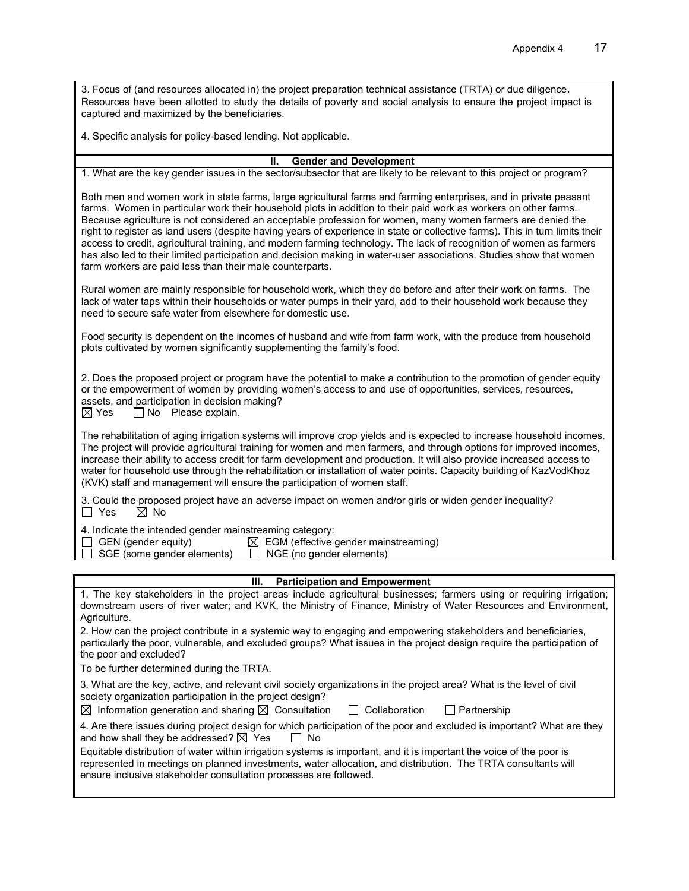3. Focus of (and resources allocated in) the project preparation technical assistance (TRTA) or due diligence. Resources have been allotted to study the details of poverty and social analysis to ensure the project impact is captured and maximized by the beneficiaries.

4. Specific analysis for policy-based lending. Not applicable.

## **II. Gender and Development**

1. What are the key gender issues in the sector/subsector that are likely to be relevant to this project or program?

Both men and women work in state farms, large agricultural farms and farming enterprises, and in private peasant farms. Women in particular work their household plots in addition to their paid work as workers on other farms. Because agriculture is not considered an acceptable profession for women, many women farmers are denied the right to register as land users (despite having years of experience in state or collective farms). This in turn limits their access to credit, agricultural training, and modern farming technology. The lack of recognition of women as farmers has also led to their limited participation and decision making in water-user associations. Studies show that women farm workers are paid less than their male counterparts.

Rural women are mainly responsible for household work, which they do before and after their work on farms. The lack of water taps within their households or water pumps in their yard, add to their household work because they need to secure safe water from elsewhere for domestic use.

Food security is dependent on the incomes of husband and wife from farm work, with the produce from household plots cultivated by women significantly supplementing the family's food.

2. Does the proposed project or program have the potential to make a contribution to the promotion of gender equity or the empowerment of women by providing women's access to and use of opportunities, services, resources, assets, and participation in decision making?

 $\boxtimes$  Yes  $\Box$  No Please explain.

The rehabilitation of aging irrigation systems will improve crop yields and is expected to increase household incomes. The project will provide agricultural training for women and men farmers, and through options for improved incomes, increase their ability to access credit for farm development and production. It will also provide increased access to water for household use through the rehabilitation or installation of water points. Capacity building of KazVodKhoz (KVK) staff and management will ensure the participation of women staff.

3. Could the proposed project have an adverse impact on women and/or girls or widen gender inequality?<br>  $\Box$  Yes  $\Box$  No  $\boxtimes$  No

4. Indicate the intended gender mainstreaming category:

| $\ldots$ marcule the interface genuer mainet carring category. |                                                  |
|----------------------------------------------------------------|--------------------------------------------------|
| GEN (gender equity)                                            | $\boxtimes$ EGM (effective gender mainstreaming) |

SGE (some gender elements)  $\Box$  NGE (no gender elements)

| <b>Participation and Empowerment</b><br>III.                                                                                                                                                                                                                                                               |
|------------------------------------------------------------------------------------------------------------------------------------------------------------------------------------------------------------------------------------------------------------------------------------------------------------|
| 1. The key stakeholders in the project areas include agricultural businesses; farmers using or requiring irrigation;                                                                                                                                                                                       |
| downstream users of river water; and KVK, the Ministry of Finance, Ministry of Water Resources and Environment,<br>Agriculture.                                                                                                                                                                            |
|                                                                                                                                                                                                                                                                                                            |
| 2. How can the project contribute in a systemic way to engaging and empowering stakeholders and beneficiaries,<br>particularly the poor, vulnerable, and excluded groups? What issues in the project design require the participation of<br>the poor and excluded?                                         |
| To be further determined during the TRTA.                                                                                                                                                                                                                                                                  |
| 3. What are the key, active, and relevant civil society organizations in the project area? What is the level of civil<br>society organization participation in the project design?                                                                                                                         |
| $\boxtimes$ Information generation and sharing $\boxtimes$ Consultation $\Box$ Collaboration<br>I Partnership                                                                                                                                                                                              |
| 4. Are there issues during project design for which participation of the poor and excluded is important? What are they<br>and how shall they be addressed? $\boxtimes$ Yes<br>∣ I No                                                                                                                       |
| Equitable distribution of water within irrigation systems is important, and it is important the voice of the poor is<br>represented in meetings on planned investments, water allocation, and distribution. The TRTA consultants will<br>ensure inclusive stakeholder consultation processes are followed. |